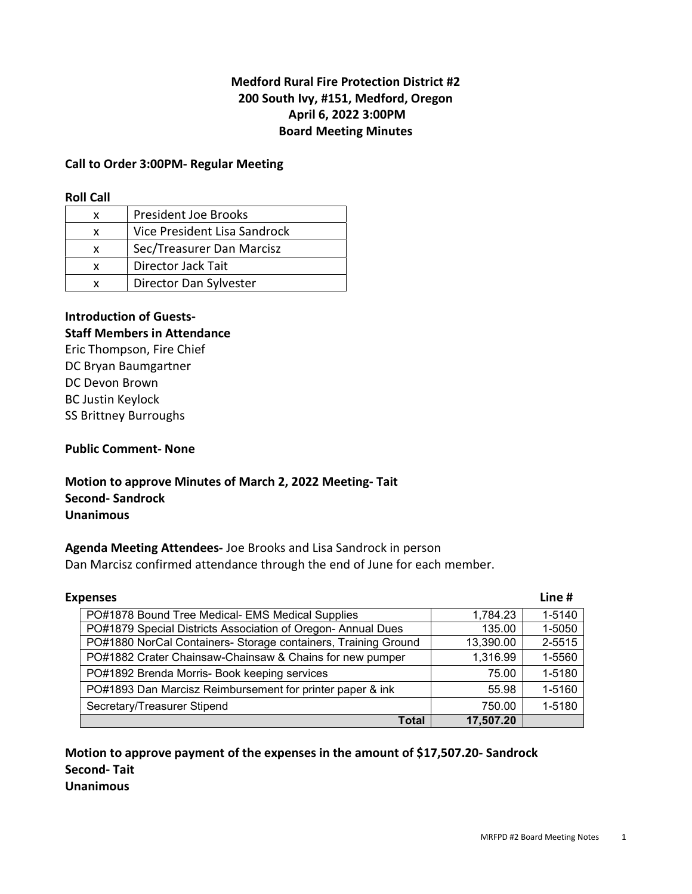## Medford Rural Fire Protection District #2 200 South Ivy, #151, Medford, Oregon April 6, 2022 3:00PM Board Meeting Minutes

#### Call to Order 3:00PM- Regular Meeting

#### Roll Call

| x | <b>President Joe Brooks</b>  |
|---|------------------------------|
| x | Vice President Lisa Sandrock |
| x | Sec/Treasurer Dan Marcisz    |
| x | Director Jack Tait           |
|   | Director Dan Sylvester       |

#### Introduction of Guests-Staff Members in Attendance

## Eric Thompson, Fire Chief DC Bryan Baumgartner DC Devon Brown BC Justin Keylock SS Brittney Burroughs

#### Public Comment- None

## Motion to approve Minutes of March 2, 2022 Meeting- Tait Second- Sandrock Unanimous

#### Agenda Meeting Attendees- Joe Brooks and Lisa Sandrock in person Dan Marcisz confirmed attendance through the end of June for each member.

| <b>Expenses</b>                                                |           |        |
|----------------------------------------------------------------|-----------|--------|
| PO#1878 Bound Tree Medical- EMS Medical Supplies               | 1,784.23  | 1-5140 |
| PO#1879 Special Districts Association of Oregon-Annual Dues    | 135.00    | 1-5050 |
| PO#1880 NorCal Containers- Storage containers, Training Ground | 13,390.00 | 2-5515 |
| PO#1882 Crater Chainsaw-Chainsaw & Chains for new pumper       | 1,316.99  | 1-5560 |
| PO#1892 Brenda Morris- Book keeping services                   | 75.00     | 1-5180 |
| PO#1893 Dan Marcisz Reimbursement for printer paper & ink      | 55.98     | 1-5160 |
| Secretary/Treasurer Stipend                                    | 750.00    | 1-5180 |
| <b>Total</b>                                                   | 17,507.20 |        |

#### Motion to approve payment of the expenses in the amount of \$17,507.20- Sandrock Second- Tait Unanimous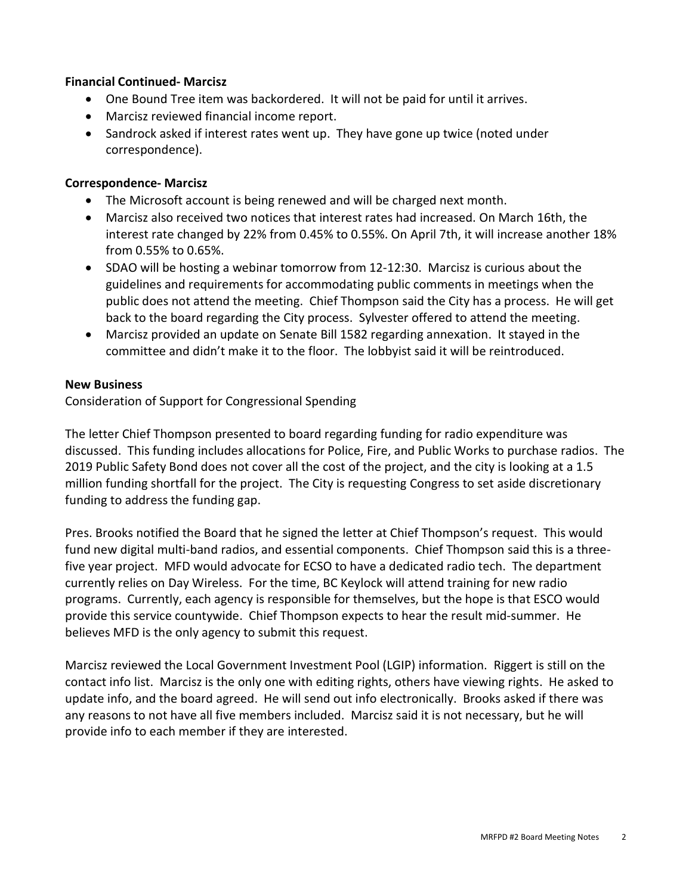#### Financial Continued- Marcisz

- One Bound Tree item was backordered. It will not be paid for until it arrives.
- Marcisz reviewed financial income report.
- Sandrock asked if interest rates went up. They have gone up twice (noted under correspondence).

#### Correspondence- Marcisz

- The Microsoft account is being renewed and will be charged next month.
- Marcisz also received two notices that interest rates had increased. On March 16th, the interest rate changed by 22% from 0.45% to 0.55%. On April 7th, it will increase another 18% from 0.55% to 0.65%.
- SDAO will be hosting a webinar tomorrow from 12-12:30. Marcisz is curious about the guidelines and requirements for accommodating public comments in meetings when the public does not attend the meeting. Chief Thompson said the City has a process. He will get back to the board regarding the City process. Sylvester offered to attend the meeting.
- Marcisz provided an update on Senate Bill 1582 regarding annexation. It stayed in the committee and didn't make it to the floor. The lobbyist said it will be reintroduced.

#### New Business

Consideration of Support for Congressional Spending

The letter Chief Thompson presented to board regarding funding for radio expenditure was discussed. This funding includes allocations for Police, Fire, and Public Works to purchase radios. The 2019 Public Safety Bond does not cover all the cost of the project, and the city is looking at a 1.5 million funding shortfall for the project. The City is requesting Congress to set aside discretionary funding to address the funding gap.

Pres. Brooks notified the Board that he signed the letter at Chief Thompson's request. This would fund new digital multi-band radios, and essential components. Chief Thompson said this is a threefive year project. MFD would advocate for ECSO to have a dedicated radio tech. The department currently relies on Day Wireless. For the time, BC Keylock will attend training for new radio programs. Currently, each agency is responsible for themselves, but the hope is that ESCO would provide this service countywide. Chief Thompson expects to hear the result mid-summer. He believes MFD is the only agency to submit this request.

Marcisz reviewed the Local Government Investment Pool (LGIP) information. Riggert is still on the contact info list. Marcisz is the only one with editing rights, others have viewing rights. He asked to update info, and the board agreed. He will send out info electronically. Brooks asked if there was any reasons to not have all five members included. Marcisz said it is not necessary, but he will provide info to each member if they are interested.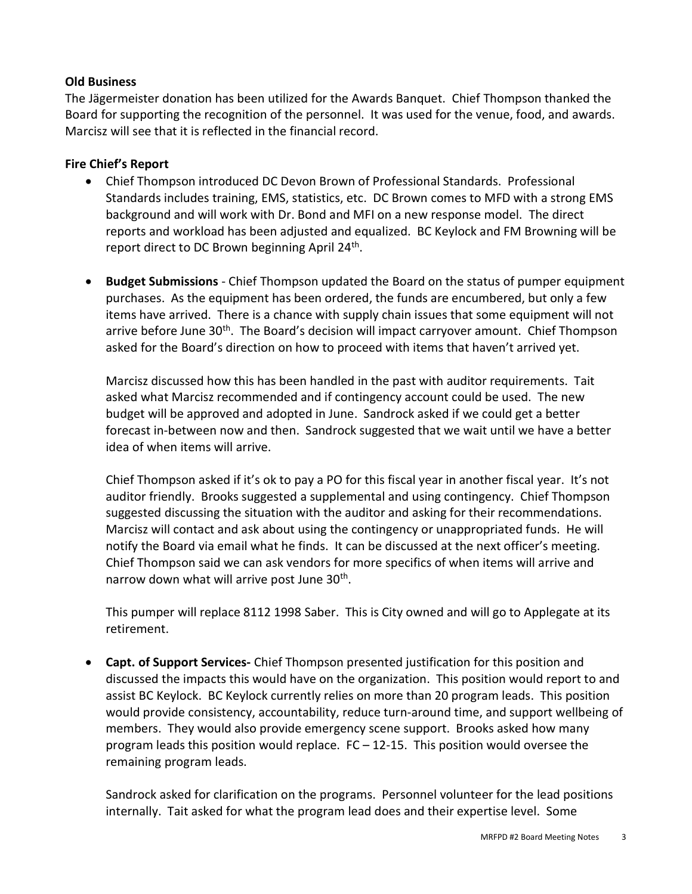#### Old Business

The Jägermeister donation has been utilized for the Awards Banquet. Chief Thompson thanked the Board for supporting the recognition of the personnel. It was used for the venue, food, and awards. Marcisz will see that it is reflected in the financial record.

### Fire Chief's Report

- Chief Thompson introduced DC Devon Brown of Professional Standards. Professional Standards includes training, EMS, statistics, etc. DC Brown comes to MFD with a strong EMS background and will work with Dr. Bond and MFI on a new response model. The direct reports and workload has been adjusted and equalized. BC Keylock and FM Browning will be report direct to DC Brown beginning April 24<sup>th</sup>.
- Budget Submissions Chief Thompson updated the Board on the status of pumper equipment purchases. As the equipment has been ordered, the funds are encumbered, but only a few items have arrived. There is a chance with supply chain issues that some equipment will not arrive before June 30<sup>th</sup>. The Board's decision will impact carryover amount. Chief Thompson asked for the Board's direction on how to proceed with items that haven't arrived yet.

Marcisz discussed how this has been handled in the past with auditor requirements. Tait asked what Marcisz recommended and if contingency account could be used. The new budget will be approved and adopted in June. Sandrock asked if we could get a better forecast in-between now and then. Sandrock suggested that we wait until we have a better idea of when items will arrive.

Chief Thompson asked if it's ok to pay a PO for this fiscal year in another fiscal year. It's not auditor friendly. Brooks suggested a supplemental and using contingency. Chief Thompson suggested discussing the situation with the auditor and asking for their recommendations. Marcisz will contact and ask about using the contingency or unappropriated funds. He will notify the Board via email what he finds. It can be discussed at the next officer's meeting. Chief Thompson said we can ask vendors for more specifics of when items will arrive and narrow down what will arrive post June 30<sup>th</sup>.

This pumper will replace 8112 1998 Saber. This is City owned and will go to Applegate at its retirement.

• Capt. of Support Services- Chief Thompson presented justification for this position and discussed the impacts this would have on the organization. This position would report to and assist BC Keylock. BC Keylock currently relies on more than 20 program leads. This position would provide consistency, accountability, reduce turn-around time, and support wellbeing of members. They would also provide emergency scene support. Brooks asked how many program leads this position would replace.  $FC - 12-15$ . This position would oversee the remaining program leads.

Sandrock asked for clarification on the programs. Personnel volunteer for the lead positions internally. Tait asked for what the program lead does and their expertise level. Some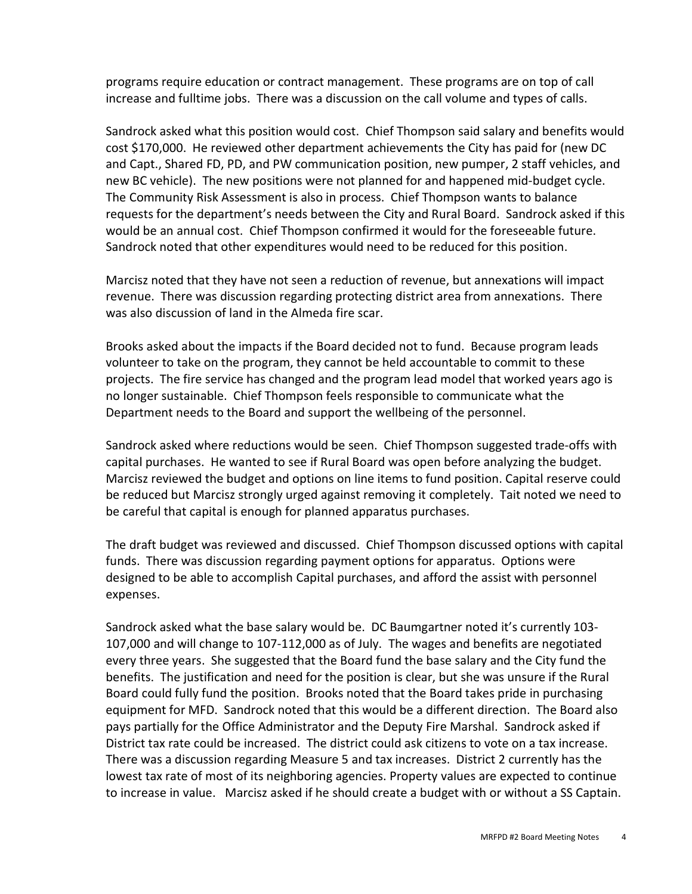programs require education or contract management. These programs are on top of call increase and fulltime jobs. There was a discussion on the call volume and types of calls.

Sandrock asked what this position would cost. Chief Thompson said salary and benefits would cost \$170,000. He reviewed other department achievements the City has paid for (new DC and Capt., Shared FD, PD, and PW communication position, new pumper, 2 staff vehicles, and new BC vehicle). The new positions were not planned for and happened mid-budget cycle. The Community Risk Assessment is also in process. Chief Thompson wants to balance requests for the department's needs between the City and Rural Board. Sandrock asked if this would be an annual cost. Chief Thompson confirmed it would for the foreseeable future. Sandrock noted that other expenditures would need to be reduced for this position.

Marcisz noted that they have not seen a reduction of revenue, but annexations will impact revenue. There was discussion regarding protecting district area from annexations. There was also discussion of land in the Almeda fire scar.

Brooks asked about the impacts if the Board decided not to fund. Because program leads volunteer to take on the program, they cannot be held accountable to commit to these projects. The fire service has changed and the program lead model that worked years ago is no longer sustainable. Chief Thompson feels responsible to communicate what the Department needs to the Board and support the wellbeing of the personnel.

Sandrock asked where reductions would be seen. Chief Thompson suggested trade-offs with capital purchases. He wanted to see if Rural Board was open before analyzing the budget. Marcisz reviewed the budget and options on line items to fund position. Capital reserve could be reduced but Marcisz strongly urged against removing it completely. Tait noted we need to be careful that capital is enough for planned apparatus purchases.

The draft budget was reviewed and discussed. Chief Thompson discussed options with capital funds. There was discussion regarding payment options for apparatus. Options were designed to be able to accomplish Capital purchases, and afford the assist with personnel expenses.

Sandrock asked what the base salary would be. DC Baumgartner noted it's currently 103- 107,000 and will change to 107-112,000 as of July. The wages and benefits are negotiated every three years. She suggested that the Board fund the base salary and the City fund the benefits. The justification and need for the position is clear, but she was unsure if the Rural Board could fully fund the position. Brooks noted that the Board takes pride in purchasing equipment for MFD. Sandrock noted that this would be a different direction. The Board also pays partially for the Office Administrator and the Deputy Fire Marshal. Sandrock asked if District tax rate could be increased. The district could ask citizens to vote on a tax increase. There was a discussion regarding Measure 5 and tax increases. District 2 currently has the lowest tax rate of most of its neighboring agencies. Property values are expected to continue to increase in value. Marcisz asked if he should create a budget with or without a SS Captain.